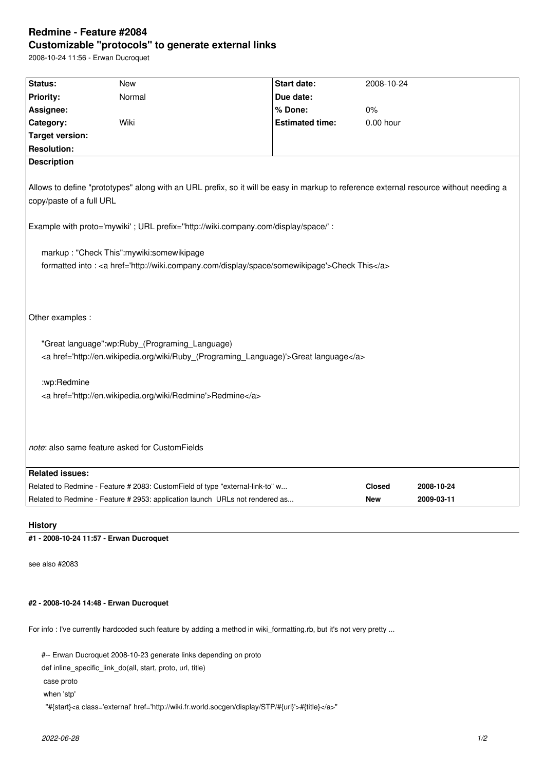## **Redmine - Feature #2084 Customizable "protocols" to generate external links**

2008-10-24 11:56 - Erwan Ducroquet

| Status:                                                                                                                                                           | <b>New</b>                                                                    | <b>Start date:</b>     | 2008-10-24    |            |
|-------------------------------------------------------------------------------------------------------------------------------------------------------------------|-------------------------------------------------------------------------------|------------------------|---------------|------------|
| <b>Priority:</b>                                                                                                                                                  | Normal                                                                        | Due date:              |               |            |
| Assignee:                                                                                                                                                         |                                                                               | % Done:                | 0%            |            |
| Category:                                                                                                                                                         | Wiki                                                                          | <b>Estimated time:</b> | 0.00 hour     |            |
| <b>Target version:</b>                                                                                                                                            |                                                                               |                        |               |            |
| <b>Resolution:</b>                                                                                                                                                |                                                                               |                        |               |            |
| <b>Description</b>                                                                                                                                                |                                                                               |                        |               |            |
| Allows to define "prototypes" along with an URL prefix, so it will be easy in markup to reference external resource without needing a<br>copy/paste of a full URL |                                                                               |                        |               |            |
| Example with proto='mywiki' ; URL prefix="http://wiki.company.com/display/space/' :                                                                               |                                                                               |                        |               |            |
| markup: "Check This":mywiki:somewikipage<br>formatted into : < a href='http://wiki.company.com/display/space/somewikipage'>Check This                             |                                                                               |                        |               |            |
| Other examples :                                                                                                                                                  |                                                                               |                        |               |            |
| "Great language":wp:Ruby_(Programing_Language)<br><a href="http://en.wikipedia.org/wiki/Ruby_(Programing_Language)">Great language</a>                            |                                                                               |                        |               |            |
| :wp:Redmine                                                                                                                                                       |                                                                               |                        |               |            |
| <a href="http://en.wikipedia.org/wiki/Redmine">Redmine</a>                                                                                                        |                                                                               |                        |               |            |
| note: also same feature asked for CustomFields                                                                                                                    |                                                                               |                        |               |            |
| <b>Related issues:</b>                                                                                                                                            |                                                                               |                        |               |            |
|                                                                                                                                                                   | Related to Redmine - Feature # 2083: CustomField of type "external-link-to" w |                        | <b>Closed</b> | 2008-10-24 |
|                                                                                                                                                                   | Related to Redmine - Feature # 2953: application launch URLs not rendered as  |                        | <b>New</b>    | 2009-03-11 |

**History**

**#1 - 2008-10-24 11:57 - Erwan Ducroquet**

see also #2083

## **#2 - 2008-10-24 14:48 - Erwan Ducroquet**

For info : I've currently hardcoded such feature by adding a method in wiki\_formatting.rb, but it's not very pretty ...

#-- Erwan Ducroquet 2008-10-23 generate links depending on proto

def inline\_specific\_link\_do(all, start, proto, url, title)

case proto

when 'stp'

"#{start}<a class='external' href='http://wiki.fr.world.socgen/display/STP/#{url}'>#{title}</a>"